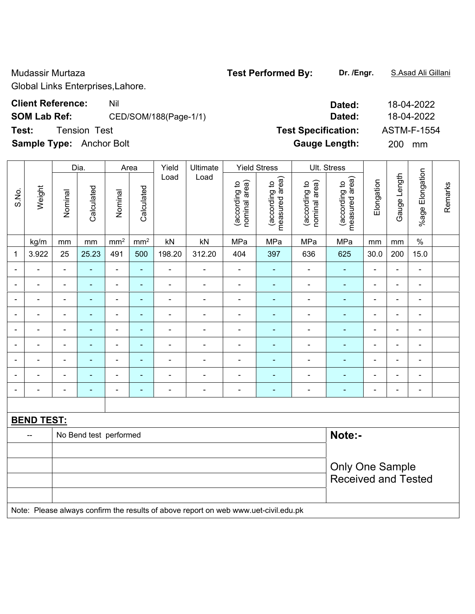Global Links Enterprises,Lahore.

**SOM Lab Ref:** CED/SOM/188(Page-1/1) **Dated:** 18-04-2022

**Sample Type:** Anchor Bolt **Gauge Length:** 200 mm

|                              |                   |                            | Dia.<br>Ultimate<br><b>Yield Stress</b><br>Ult. Stress<br>Area<br>Yield<br>Load<br>Load |                 |                 |                          |                                                                                     |                                |                                 |                                |                                 |                |                |                          |         |  |
|------------------------------|-------------------|----------------------------|-----------------------------------------------------------------------------------------|-----------------|-----------------|--------------------------|-------------------------------------------------------------------------------------|--------------------------------|---------------------------------|--------------------------------|---------------------------------|----------------|----------------|--------------------------|---------|--|
| S.No.                        | Weight            | Nominal                    | Calculated                                                                              | Nominal         | Calculated      |                          |                                                                                     | nominal area)<br>(according to | measured area)<br>(according to | nominal area)<br>(according to | measured area)<br>(according to | Elongation     | Gauge Length   | %age Elongation          | Remarks |  |
|                              | kg/m              | mm                         | mm                                                                                      | mm <sup>2</sup> | mm <sup>2</sup> | kN                       | kN                                                                                  | MPa                            | MPa                             | MPa                            | MPa                             | mm             | mm             | $\%$                     |         |  |
| $\mathbf 1$                  | 3.922             | 25                         | 25.23                                                                                   | 491             | 500             | 198.20                   | 312.20                                                                              | 404                            | 397                             | 636                            | 625                             | 30.0           | 200            | 15.0                     |         |  |
| $\blacksquare$               | ÷,                | $\blacksquare$             | $\blacksquare$                                                                          | $\blacksquare$  | $\blacksquare$  | $\blacksquare$           | $\blacksquare$                                                                      | $\blacksquare$                 | $\blacksquare$                  | $\blacksquare$                 | $\frac{1}{2}$                   | $\blacksquare$ | $\blacksquare$ | $\blacksquare$           |         |  |
| $\qquad \qquad \blacksquare$ | ä,                | $\overline{\phantom{a}}$   | $\blacksquare$                                                                          | $\blacksquare$  | $\blacksquare$  | $\blacksquare$           | $\blacksquare$                                                                      | $\blacksquare$                 | ÷                               | $\blacksquare$                 | $\frac{1}{2}$                   | $\blacksquare$ | $\blacksquare$ | $\blacksquare$           |         |  |
| $\overline{\phantom{a}}$     | ÷                 | $\overline{\phantom{a}}$   | $\blacksquare$                                                                          | ÷,              | ä,              | $\overline{\phantom{a}}$ | $\blacksquare$                                                                      | $\blacksquare$                 | $\blacksquare$                  | $\blacksquare$                 | ÷                               | $\blacksquare$ | $\blacksquare$ | $\blacksquare$           |         |  |
| $\overline{\phantom{a}}$     | -                 | $\overline{\phantom{a}}$   | $\blacksquare$                                                                          | $\blacksquare$  | ٠               | $\blacksquare$           | $\blacksquare$                                                                      | $\overline{\phantom{a}}$       | $\blacksquare$                  | $\blacksquare$                 | ä,                              | $\blacksquare$ | $\blacksquare$ | $\blacksquare$           |         |  |
| $\blacksquare$               |                   |                            | $\blacksquare$                                                                          | $\blacksquare$  | $\blacksquare$  | $\overline{\phantom{a}}$ | $\blacksquare$                                                                      | $\blacksquare$                 | $\blacksquare$                  | $\blacksquare$                 | $\blacksquare$                  | $\blacksquare$ | $\blacksquare$ | $\blacksquare$           |         |  |
| $\blacksquare$               |                   | $\blacksquare$             |                                                                                         | ÷               | ä,              | $\overline{\phantom{a}}$ | $\blacksquare$                                                                      | $\overline{\phantom{a}}$       |                                 | $\blacksquare$                 | L,                              | ä,             | $\blacksquare$ | $\blacksquare$           |         |  |
| $\overline{\phantom{a}}$     |                   | $\overline{\phantom{a}}$   | $\blacksquare$                                                                          | $\blacksquare$  | ÷,              | $\overline{a}$           | $\blacksquare$                                                                      | $\blacksquare$                 | $\blacksquare$                  | ÷,                             | ÷,                              | $\blacksquare$ | $\blacksquare$ | $\blacksquare$           |         |  |
| $\blacksquare$               | ÷,                | $\blacksquare$             | $\blacksquare$                                                                          | $\blacksquare$  | ۰               | $\blacksquare$           | $\overline{\phantom{a}}$                                                            | $\blacksquare$                 |                                 | $\blacksquare$                 | ä,                              | $\blacksquare$ | $\blacksquare$ | $\blacksquare$           |         |  |
| $\overline{\phantom{a}}$     | -                 | $\blacksquare$             | $\blacksquare$                                                                          | $\blacksquare$  | ۰               | $\overline{a}$           | $\blacksquare$                                                                      | $\blacksquare$                 | $\blacksquare$                  | $\blacksquare$                 | ÷,                              | $\blacksquare$ | $\blacksquare$ | $\overline{\phantom{a}}$ |         |  |
|                              |                   |                            |                                                                                         |                 |                 |                          |                                                                                     |                                |                                 |                                |                                 |                |                |                          |         |  |
|                              | <b>BEND TEST:</b> |                            |                                                                                         |                 |                 |                          |                                                                                     |                                |                                 |                                |                                 |                |                |                          |         |  |
|                              | --                |                            | No Bend test performed                                                                  |                 |                 |                          |                                                                                     |                                |                                 |                                | Note:-                          |                |                |                          |         |  |
|                              |                   |                            |                                                                                         |                 |                 |                          |                                                                                     |                                |                                 |                                |                                 |                |                |                          |         |  |
|                              |                   |                            |                                                                                         |                 |                 |                          |                                                                                     |                                |                                 |                                | <b>Only One Sample</b>          |                |                |                          |         |  |
|                              |                   | <b>Received and Tested</b> |                                                                                         |                 |                 |                          |                                                                                     |                                |                                 |                                |                                 |                |                |                          |         |  |
|                              |                   |                            |                                                                                         |                 |                 |                          |                                                                                     |                                |                                 |                                |                                 |                |                |                          |         |  |
|                              |                   |                            |                                                                                         |                 |                 |                          | Note: Please always confirm the results of above report on web www.uet-civil.edu.pk |                                |                                 |                                |                                 |                |                |                          |         |  |

Mudassir Murtaza **Test Performed By: Dr. /Engr.** S.Asad Ali Gillani

# **Client Reference:** Nil Nil 20022 **Test:** Tension Test **Test Specification:** ASTM-F-1554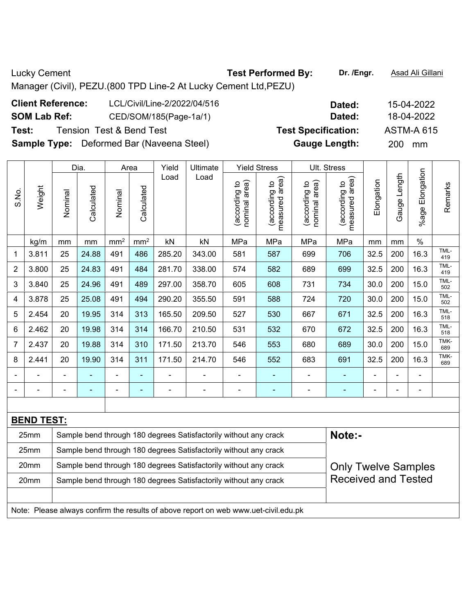Lucky Cement **Test Performed By:** Dr. /Engr. **Asad Ali Gillani** Cucky Cement Manager (Civil), PEZU.(800 TPD Line-2 At Lucky Cement Ltd,PEZU) **Client Reference:** LCL/Civil/Line-2/2022/04/516 **Dated:** 15-04-2022

**SOM Lab Ref:** CED/SOM/185(Page-1a/1) **Dated:** 18-04-2022

**Sample Type:** Deformed Bar (Naveena Steel) **Gauge Length:** 200 mm

|                |                   |                                                                  | Dia.           |                 | Area       | Yield          | <b>Ultimate</b>                                                                     |                                | <b>Yield Stress</b>             |                                | Ult. Stress                     |                |              |                      |             |
|----------------|-------------------|------------------------------------------------------------------|----------------|-----------------|------------|----------------|-------------------------------------------------------------------------------------|--------------------------------|---------------------------------|--------------------------------|---------------------------------|----------------|--------------|----------------------|-------------|
| S.No.          | Weight            | Nominal                                                          | Calculated     | Nominal         | Calculated | Load           | Load                                                                                | nominal area)<br>(according to | measured area)<br>(according to | nominal area)<br>(according to | measured area)<br>(according to | Elongation     | Gauge Length | Elongation<br>%age I | Remarks     |
|                | kg/m              | mm                                                               | mm             | mm <sup>2</sup> | $\rm mm^2$ | kN             | kN                                                                                  | MPa                            | MPa                             | MPa                            | MPa                             | mm             | mm           | $\%$                 |             |
| 1              | 3.811             | 25                                                               | 24.88          | 491             | 486        | 285.20         | 343.00                                                                              | 581                            | 587                             | 699                            | 706                             | 32.5           | 200          | 16.3                 | TML-<br>419 |
| $\overline{2}$ | 3.800             | 25                                                               | 24.83          | 491             | 484        | 281.70         | 338.00                                                                              | 574                            | 582                             | 689                            | 699                             | 32.5           | 200          | 16.3                 | TML-<br>419 |
| 3              | 3.840             | 25                                                               | 24.96          | 491             | 489        | 297.00         | 358.70                                                                              | 605                            | 608                             | 731                            | 734                             | 30.0           | 200          | 15.0                 | TML-<br>502 |
| 4              | 3.878             | 25                                                               | 25.08          | 491             | 494        | 290.20         | 355.50                                                                              | 591                            | 588                             | 724                            | 720                             | 30.0           | 200          | 15.0                 | TML-<br>502 |
| 5              | 2.454             | 20                                                               | 19.95          | 314             | 313        | 165.50         | 209.50                                                                              | 527                            | 530                             | 667                            | 671                             | 32.5           | 200          | 16.3                 | TML-<br>518 |
| 6              | 2.462             | 20                                                               | 19.98          | 314             | 314        | 166.70         | 210.50                                                                              | 531                            | 532                             | 670                            | 672                             | 32.5           | 200          | 16.3                 | TML-<br>518 |
| 7              | 2.437             | 20                                                               | 19.88          | 314             | 310        | 171.50         | 213.70                                                                              | 546                            | 553                             | 680                            | 689                             | 30.0           | 200          | 15.0                 | TMK-<br>689 |
| 8              | 2.441             | 20                                                               | 19.90          | 314             | 311        | 171.50         | 214.70                                                                              | 546                            | 552                             | 683                            | 691                             | 32.5           | 200          | 16.3                 | TMK-<br>689 |
|                |                   | $\blacksquare$                                                   |                | ÷,              | ÷,         |                |                                                                                     | $\blacksquare$                 | ٠                               | -                              | $\frac{1}{2}$                   | $\blacksquare$ |              | $\blacksquare$       |             |
| $\blacksquare$ | $\blacksquare$    | $\blacksquare$                                                   | $\blacksquare$ | $\blacksquare$  | ÷          | $\blacksquare$ | $\blacksquare$                                                                      | $\blacksquare$                 | $\blacksquare$                  | $\blacksquare$                 | $\blacksquare$                  | $\blacksquare$ | ä,           | $\blacksquare$       |             |
|                |                   |                                                                  |                |                 |            |                |                                                                                     |                                |                                 |                                |                                 |                |              |                      |             |
|                | <b>BEND TEST:</b> |                                                                  |                |                 |            |                |                                                                                     |                                |                                 |                                |                                 |                |              |                      |             |
|                | 25mm              |                                                                  |                |                 |            |                | Sample bend through 180 degrees Satisfactorily without any crack                    |                                |                                 |                                | Note:-                          |                |              |                      |             |
|                | 25mm              | Sample bend through 180 degrees Satisfactorily without any crack |                |                 |            |                |                                                                                     |                                |                                 |                                |                                 |                |              |                      |             |
|                | 20mm              |                                                                  |                |                 |            |                | Sample bend through 180 degrees Satisfactorily without any crack                    |                                |                                 |                                | <b>Only Twelve Samples</b>      |                |              |                      |             |
|                | 20mm              |                                                                  |                |                 |            |                | Sample bend through 180 degrees Satisfactorily without any crack                    |                                |                                 |                                | <b>Received and Tested</b>      |                |              |                      |             |
|                |                   |                                                                  |                |                 |            |                |                                                                                     |                                |                                 |                                |                                 |                |              |                      |             |
|                |                   |                                                                  |                |                 |            |                | Note: Please always confirm the results of above report on web www.uet-civil.edu.pk |                                |                                 |                                |                                 |                |              |                      |             |

**Test:** Tension Test & Bend Test **Test Specification:** ASTM-A 615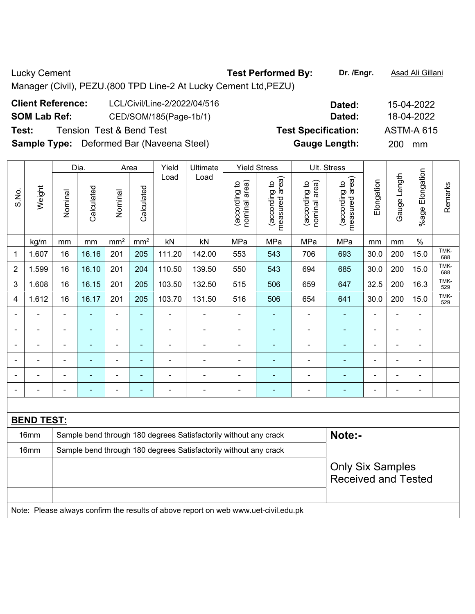Lucky Cement **Test Performed By:** Dr. /Engr. **Asad Ali Gillani** Cucky Cement Manager (Civil), PEZU.(800 TPD Line-2 At Lucky Cement Ltd,PEZU) **Client Reference:** LCL/Civil/Line-2/2022/04/516 **Dated:** 15-04-2022

**SOM Lab Ref:** CED/SOM/185(Page-1b/1) **Dated:** 18-04-2022

**Test:** Tension Test & Bend Test **Test Specification:** ASTM-A 615

**Sample Type:** Deformed Bar (Naveena Steel) **Gauge Length:** 200 mm

|                |                   |                                                                  | Dia.<br>Yield<br>Ultimate<br><b>Yield Stress</b><br>Ult. Stress<br>Area |                          |                |                          |                                                                                     |                                |                                 |                                |                                 |                |                |                          |             |
|----------------|-------------------|------------------------------------------------------------------|-------------------------------------------------------------------------|--------------------------|----------------|--------------------------|-------------------------------------------------------------------------------------|--------------------------------|---------------------------------|--------------------------------|---------------------------------|----------------|----------------|--------------------------|-------------|
| S.No.          | Weight            | Nominal                                                          | Calculated                                                              | Nominal                  | Calculated     | Load                     | Load                                                                                | nominal area)<br>(according to | measured area)<br>(according to | nominal area)<br>(according to | measured area)<br>(according to | Elongation     | Gauge Length   | %age Elongation          | Remarks     |
|                | kg/m              | mm                                                               | mm                                                                      | mm <sup>2</sup>          | $\text{mm}^2$  | kN                       | kN                                                                                  | MPa                            | MPa                             | MPa                            | MPa                             | mm             | mm             | $\%$                     |             |
| 1              | 1.607             | 16                                                               | 16.16                                                                   | 201                      | 205            | 111.20                   | 142.00                                                                              | 553                            | 543                             | 706                            | 693                             | 30.0           | 200            | 15.0                     | TMK-<br>688 |
| $\overline{2}$ | 1.599             | 16                                                               | 16.10                                                                   | 201                      | 204            | 110.50                   | 139.50                                                                              | 550                            | 543                             | 694                            | 685                             | 30.0           | 200            | 15.0                     | TMK-<br>688 |
| 3              | 1.608             | 16                                                               | 16.15                                                                   | 201                      | 205            | 103.50                   | 132.50                                                                              | 515                            | 506                             | 659                            | 647                             | 32.5           | 200            | 16.3                     | TMK-<br>529 |
| 4              | 1.612             | 16                                                               | 16.17                                                                   | 201                      | 205            | 103.70                   | 131.50                                                                              | 516                            | 506                             | 654                            | 641                             | 30.0           | 200            | 15.0                     | TMK-<br>529 |
|                |                   |                                                                  |                                                                         | ÷                        | L.             |                          |                                                                                     |                                |                                 |                                |                                 |                |                |                          |             |
|                |                   |                                                                  |                                                                         | ÷                        | $\blacksquare$ |                          |                                                                                     |                                | ۰                               | $\blacksquare$                 |                                 | -              |                |                          |             |
|                |                   | $\blacksquare$                                                   |                                                                         | $\overline{\phantom{a}}$ | $\blacksquare$ | $\blacksquare$           |                                                                                     |                                | ۰                               |                                |                                 | $\blacksquare$ |                | $\blacksquare$           |             |
|                |                   | $\blacksquare$                                                   | ÷                                                                       | $\overline{\phantom{a}}$ | $\blacksquare$ | $\blacksquare$           |                                                                                     | $\blacksquare$                 | ۰                               | $\blacksquare$                 | $\blacksquare$                  | $\blacksquare$ | $\blacksquare$ | ä,                       |             |
|                | $\blacksquare$    | $\blacksquare$                                                   | ÷                                                                       | $\overline{\phantom{a}}$ | ÷,             | ÷                        |                                                                                     | $\blacksquare$                 | ۰                               | $\overline{a}$                 | ä,                              | $\blacksquare$ | $\blacksquare$ | $\blacksquare$           |             |
|                | $\blacksquare$    | $\blacksquare$                                                   | ÷                                                                       | $\overline{\phantom{a}}$ | $\blacksquare$ | $\overline{\phantom{0}}$ | $\blacksquare$                                                                      | $\blacksquare$                 | ÷                               | $\overline{a}$                 | $\blacksquare$                  |                | $\blacksquare$ | $\overline{\phantom{a}}$ |             |
|                |                   |                                                                  |                                                                         |                          |                |                          |                                                                                     |                                |                                 |                                |                                 |                |                |                          |             |
|                | <b>BEND TEST:</b> |                                                                  |                                                                         |                          |                |                          |                                                                                     |                                |                                 |                                |                                 |                |                |                          |             |
|                | 16mm              |                                                                  |                                                                         |                          |                |                          | Sample bend through 180 degrees Satisfactorily without any crack                    |                                |                                 |                                | Note:-                          |                |                |                          |             |
|                | 16mm              | Sample bend through 180 degrees Satisfactorily without any crack |                                                                         |                          |                |                          |                                                                                     |                                |                                 |                                |                                 |                |                |                          |             |
|                |                   | <b>Only Six Samples</b>                                          |                                                                         |                          |                |                          |                                                                                     |                                |                                 |                                |                                 |                |                |                          |             |
|                |                   |                                                                  |                                                                         |                          |                |                          |                                                                                     |                                |                                 |                                | <b>Received and Tested</b>      |                |                |                          |             |
|                |                   |                                                                  |                                                                         |                          |                |                          |                                                                                     |                                |                                 |                                |                                 |                |                |                          |             |
|                |                   |                                                                  |                                                                         |                          |                |                          | Note: Please always confirm the results of above report on web www.uet-civil.edu.pk |                                |                                 |                                |                                 |                |                |                          |             |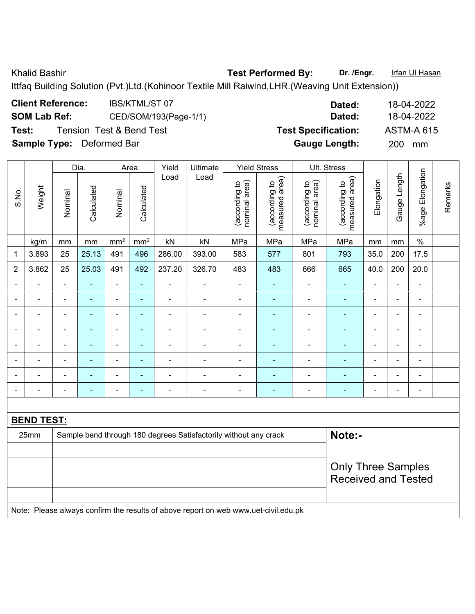Khalid Bashir **Test Performed By:** Dr. /Engr. **Infan Ul Hasan** 

Ittfaq Building Solution (Pvt.)Ltd.(Kohinoor Textile Mill Raiwind,LHR.(Weaving Unit Extension))

| <b>Client Reference:</b>         | <b>IBS/KTML/ST07</b>     | Dated:                     | 18-04-2022        |
|----------------------------------|--------------------------|----------------------------|-------------------|
| <b>SOM Lab Ref:</b>              | CED/SOM/193(Page-1/1)    | Dated:                     | 18-04-2022        |
| Test:                            | Tension Test & Bend Test | <b>Test Specification:</b> | <b>ASTM-A 615</b> |
| <b>Sample Type:</b> Deformed Bar |                          | <b>Gauge Length:</b>       | <b>200</b><br>mm  |

|                |                   |                                                                            | Dia.           |                 | Area            | Yield                    | Ultimate       |                                | <b>Yield Stress</b>             |                                | Ult. Stress                     |                |                |                 |         |  |
|----------------|-------------------|----------------------------------------------------------------------------|----------------|-----------------|-----------------|--------------------------|----------------|--------------------------------|---------------------------------|--------------------------------|---------------------------------|----------------|----------------|-----------------|---------|--|
| S.No.          | Weight            | Nominal                                                                    | Calculated     | Nominal         | Calculated      | Load                     | Load           | nominal area)<br>(according to | measured area)<br>(according to | nominal area)<br>(according to | measured area)<br>(according to | Elongation     | Gauge Length   | %age Elongation | Remarks |  |
|                | kg/m              | mm                                                                         | mm             | mm <sup>2</sup> | mm <sup>2</sup> | kN                       | kN             | MPa                            | MPa                             | MPa                            | MPa                             | mm             | mm             | $\%$            |         |  |
| 1              | 3.893             | 25                                                                         | 25.13          | 491             | 496             | 286.00                   | 393.00         | 583                            | 577                             | 801                            | 793                             | 35.0           | 200            | 17.5            |         |  |
| $\overline{2}$ | 3.862             | 25                                                                         | 25.03          | 491             | 492             | 237.20                   | 326.70         | 483                            | 483                             | 666                            | 665                             | 40.0           | 200            | 20.0            |         |  |
|                |                   |                                                                            |                | $\blacksquare$  | ä,              | $\blacksquare$           |                | $\blacksquare$                 | $\blacksquare$                  | $\overline{\phantom{a}}$       | $\blacksquare$                  | $\blacksquare$ |                | $\blacksquare$  |         |  |
| $\blacksquare$ | ÷                 | $\blacksquare$                                                             | $\blacksquare$ | $\blacksquare$  | $\blacksquare$  | $\overline{\phantom{a}}$ | $\blacksquare$ | $\blacksquare$                 | ۰                               | $\qquad \qquad \blacksquare$   | $\blacksquare$                  | $\blacksquare$ | $\blacksquare$ | $\blacksquare$  |         |  |
|                | $\overline{a}$    |                                                                            | $\blacksquare$ | $\blacksquare$  | $\blacksquare$  | $\blacksquare$           |                | $\blacksquare$                 | ۰                               | ۰                              | $\blacksquare$                  |                | $\blacksquare$ | $\blacksquare$  |         |  |
|                |                   |                                                                            |                | ÷               | ÷               |                          |                |                                | $\blacksquare$                  | $\blacksquare$                 | $\blacksquare$                  | $\blacksquare$ |                | $\blacksquare$  |         |  |
| $\blacksquare$ | $\blacksquare$    | $\blacksquare$                                                             | $\blacksquare$ | ÷               | $\blacksquare$  | $\overline{\phantom{0}}$ | $\blacksquare$ | $\blacksquare$                 | ۰                               | ۰                              | $\blacksquare$                  | $\blacksquare$ | $\blacksquare$ | $\blacksquare$  |         |  |
|                | L.                |                                                                            | $\blacksquare$ | $\blacksquare$  | ä,              | $\blacksquare$           |                |                                | ۰                               | $\blacksquare$                 | ÷                               |                |                | $\blacksquare$  |         |  |
|                |                   |                                                                            |                | ۰               | ÷               |                          |                |                                |                                 | $\blacksquare$                 | $\blacksquare$                  |                |                |                 |         |  |
| $\blacksquare$ | $\overline{a}$    |                                                                            | $\blacksquare$ | -               | $\blacksquare$  | $\blacksquare$           | $\blacksquare$ | $\blacksquare$                 | $\overline{\phantom{0}}$        | $\overline{\phantom{0}}$       | $\blacksquare$                  | $\blacksquare$ | $\blacksquare$ | $\blacksquare$  |         |  |
|                |                   |                                                                            |                |                 |                 |                          |                |                                |                                 |                                |                                 |                |                |                 |         |  |
|                | <b>BEND TEST:</b> |                                                                            |                |                 |                 |                          |                |                                |                                 |                                |                                 |                |                |                 |         |  |
|                | 25mm              | Note:-<br>Sample bend through 180 degrees Satisfactorily without any crack |                |                 |                 |                          |                |                                |                                 |                                |                                 |                |                |                 |         |  |
|                |                   |                                                                            |                |                 |                 |                          |                |                                |                                 |                                |                                 |                |                |                 |         |  |
|                |                   |                                                                            |                |                 |                 |                          |                |                                |                                 |                                | <b>Only Three Samples</b>       |                |                |                 |         |  |
|                |                   |                                                                            |                |                 |                 |                          |                |                                |                                 |                                | <b>Received and Tested</b>      |                |                |                 |         |  |
|                |                   |                                                                            |                |                 |                 |                          |                |                                |                                 |                                |                                 |                |                |                 |         |  |

Note: Please always confirm the results of above report on web www.uet-civil.edu.pk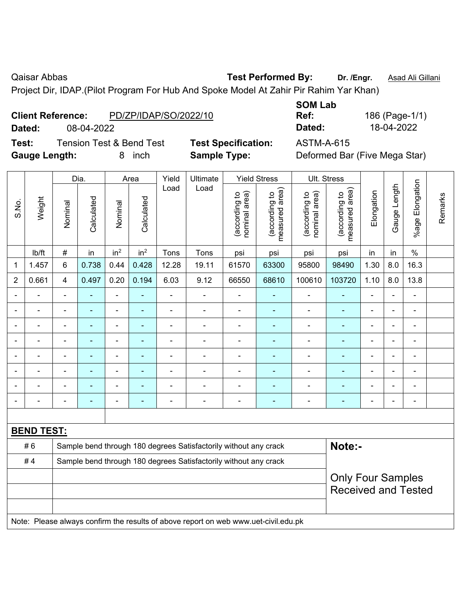Qaisar Abbas **Test Performed By:** Dr. /Engr. **Asad Ali Gillani** Caisar Abbas **Manufath Communist Communist Communist** 

Project Dir, IDAP.(Pilot Program For Hub And Spoke Model At Zahir Pir Rahim Yar Khan)

| <b>Client Reference:</b> | PD/ZP/IDAP/SO/2022/10 |
|--------------------------|-----------------------|
|                          |                       |

**Test:** Tension Test & Bend Test **Test Specification:** ASTM-A-615 **Gauge Length:** 8 inch **Sample Type:** Deformed Bar (Five Mega Star)

**SOM Lab** 

|                |                   |                | Dia.           |                          | Area                     | Yield          | Ultimate                                                                            |                                | <b>Yield Stress</b>             |                                | Ult. Stress                     |                |                |                 |         |
|----------------|-------------------|----------------|----------------|--------------------------|--------------------------|----------------|-------------------------------------------------------------------------------------|--------------------------------|---------------------------------|--------------------------------|---------------------------------|----------------|----------------|-----------------|---------|
| S.No.          | Weight            | Nominal        | Calculated     | Nominal                  | Calculated               | Load           | Load                                                                                | nominal area)<br>(according to | (according to<br>measured area) | (according to<br>nominal area) | (according to<br>measured area) | Elongation     | Gauge Length   | %age Elongation | Remarks |
|                | Ib/ft             | $\#$           | in             | in <sup>2</sup>          | in <sup>2</sup>          | Tons           | Tons                                                                                | psi                            | psi                             | psi                            | psi                             | in             | in             | $\%$            |         |
| 1              | 1.457             | $6\phantom{1}$ | 0.738          | 0.44                     | 0.428                    | 12.28          | 19.11                                                                               | 61570                          | 63300                           | 95800                          | 98490                           | 1.30           | 8.0            | 16.3            |         |
| $\overline{2}$ | 0.661             | $\overline{4}$ | 0.497          | 0.20                     | 0.194                    | 6.03           | 9.12                                                                                | 66550                          | 68610                           | 100610                         | 103720                          | 1.10           | 8.0            | 13.8            |         |
| $\blacksquare$ | $\blacksquare$    | ä,             | $\blacksquare$ | $\blacksquare$           | $\blacksquare$           | $\blacksquare$ | $\frac{1}{2}$                                                                       | $\blacksquare$                 | $\blacksquare$                  | $\blacksquare$                 | ÷                               | $\blacksquare$ | $\blacksquare$ | $\blacksquare$  |         |
| $\blacksquare$ | $\blacksquare$    | $\blacksquare$ | $\blacksquare$ | $\blacksquare$           | $\blacksquare$           | $\blacksquare$ | $\blacksquare$                                                                      | $\blacksquare$                 | $\blacksquare$                  | $\blacksquare$                 | ٠                               | $\blacksquare$ | ä,             | $\blacksquare$  |         |
|                | $\blacksquare$    | $\blacksquare$ | $\blacksquare$ | $\overline{\phantom{a}}$ | $\blacksquare$           | L,             | $\blacksquare$                                                                      | $\blacksquare$                 | $\blacksquare$                  | $\blacksquare$                 | ÷                               | $\blacksquare$ | ä,             | $\blacksquare$  |         |
|                | $\blacksquare$    | $\blacksquare$ | $\blacksquare$ | $\blacksquare$           | $\overline{\phantom{a}}$ | ä,             | $\blacksquare$                                                                      | $\blacksquare$                 | $\blacksquare$                  | $\blacksquare$                 | ٠                               | $\blacksquare$ | ä,             | ÷,              |         |
|                |                   |                | ä,             | ä,                       | $\overline{\phantom{a}}$ |                | $\blacksquare$                                                                      | ä,                             | ä,                              | $\blacksquare$                 | ä,                              |                | L.             | ÷               |         |
|                |                   |                |                | ÷                        |                          |                |                                                                                     |                                |                                 |                                |                                 |                | ÷              |                 |         |
|                |                   |                |                | $\blacksquare$           |                          |                | $\blacksquare$                                                                      | $\blacksquare$                 | $\overline{\phantom{a}}$        | $\blacksquare$                 | $\overline{\phantom{a}}$        | $\blacksquare$ | ÷              | -               |         |
|                |                   | $\blacksquare$ | $\blacksquare$ | $\blacksquare$           | $\blacksquare$           | L,             | $\blacksquare$                                                                      | ä,                             | ÷,                              | $\blacksquare$                 | $\blacksquare$                  | $\blacksquare$ | ä,             | $\blacksquare$  |         |
|                |                   |                |                |                          |                          |                |                                                                                     |                                |                                 |                                |                                 |                |                |                 |         |
|                | <b>BEND TEST:</b> |                |                |                          |                          |                |                                                                                     |                                |                                 |                                |                                 |                |                |                 |         |
|                | #6                |                |                |                          |                          |                | Sample bend through 180 degrees Satisfactorily without any crack                    |                                |                                 |                                | Note:-                          |                |                |                 |         |
|                | #4                |                |                |                          |                          |                | Sample bend through 180 degrees Satisfactorily without any crack                    |                                |                                 |                                |                                 |                |                |                 |         |
|                |                   |                |                |                          |                          |                |                                                                                     |                                |                                 |                                | <b>Only Four Samples</b>        |                |                |                 |         |
|                |                   |                |                |                          |                          |                |                                                                                     |                                |                                 |                                | <b>Received and Tested</b>      |                |                |                 |         |
|                |                   |                |                |                          |                          |                |                                                                                     |                                |                                 |                                |                                 |                |                |                 |         |
|                |                   |                |                |                          |                          |                | Note: Please always confirm the results of above report on web www.uet-civil.edu.pk |                                |                                 |                                |                                 |                |                |                 |         |

**Ref:** 186 (Page-1/1) **Dated:** 08-04-2022 **Dated:** 18-04-2022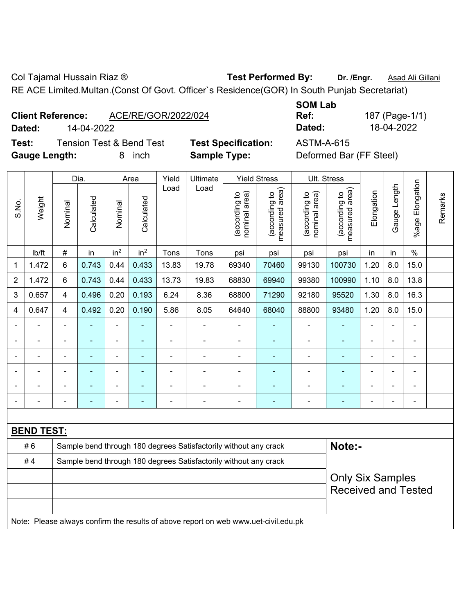Col Tajamal Hussain Riaz ® **Test Performed By: Dr. /Engr.** Asad Ali Gillani

RE ACE Limited.Multan.(Const Of Govt. Officer`s Residence(GOR) In South Punjab Secretariat)

| <b>Client Reference:</b> |                                                   | ACE/RE/GOR/2022/024 |
|--------------------------|---------------------------------------------------|---------------------|
| <b>B</b> - 4 - -1 -      | $\lambda$ $\lambda$ $\lambda$ $\lambda$ $\lambda$ |                     |

**Test:** Tension Test & Bend Test **Test Specification:** ASTM-A-615 **Gauge Length:** 8 inch **Sample Type:** Deformed Bar (FF Steel)

**SOM Lab Ref:** 187 (Page-1/1) **Dated:** 14-04-2022 **Dated:** 18-04-2022

|                          |                   |                                                                            | Dia.       |                 | Area            | Yield          | <b>Ultimate</b>                                                  |                                | <b>Yield Stress</b>             | Ult. Stress                    |                                    |                            |                |                       |         |  |
|--------------------------|-------------------|----------------------------------------------------------------------------|------------|-----------------|-----------------|----------------|------------------------------------------------------------------|--------------------------------|---------------------------------|--------------------------------|------------------------------------|----------------------------|----------------|-----------------------|---------|--|
| S.No.                    | Weight            | Nominal                                                                    | Calculated | Nominal         | Calculated      | Load           | Load                                                             | nominal area)<br>(according to | measured area)<br>(according to | nominal area)<br>(according to | area)<br>(according to<br>measured | Elongation                 | Gauge Length   | Elongation<br>$%$ age | Remarks |  |
|                          | Ib/ft             | $\#$                                                                       | in         | in <sup>2</sup> | in <sup>2</sup> | Tons           | Tons                                                             | psi                            | psi                             | psi                            | psi                                | in                         | in             | $\frac{0}{0}$         |         |  |
| 1                        | 1.472             | $6\phantom{a}$                                                             | 0.743      | 0.44            | 0.433           | 13.83          | 19.78                                                            | 69340                          | 70460                           | 99130                          | 100730                             | 1.20                       | 8.0            | 15.0                  |         |  |
| $\overline{2}$           | 1.472             | 6                                                                          | 0.743      | 0.44            | 0.433           | 13.73          | 19.83                                                            | 68830                          | 69940                           | 99380                          | 100990                             | 1.10                       | 8.0            | 13.8                  |         |  |
| 3                        | 0.657             | $\overline{4}$                                                             | 0.496      | 0.20            | 0.193           | 6.24           | 8.36                                                             | 68800                          | 71290                           | 92180                          | 95520                              | 1.30                       | 8.0            | 16.3                  |         |  |
| 4                        | 0.647             | $\overline{4}$                                                             | 0.492      | 0.20            | 0.190           | 5.86           | 8.05                                                             | 64640                          | 68040                           | 88800                          | 93480                              | 1.20                       | 8.0            | 15.0                  |         |  |
| $\overline{\phantom{a}}$ |                   |                                                                            |            |                 |                 |                |                                                                  |                                |                                 |                                |                                    | $\overline{\phantom{0}}$   |                |                       |         |  |
| $\overline{\phantom{a}}$ |                   | $\blacksquare$                                                             | ۰          | ä,              | $\blacksquare$  | $\blacksquare$ | $\blacksquare$                                                   | $\blacksquare$                 |                                 | $\blacksquare$                 |                                    | $\blacksquare$             | $\blacksquare$ | $\blacksquare$        |         |  |
| $\blacksquare$           |                   |                                                                            | ۰          |                 |                 |                |                                                                  |                                |                                 |                                |                                    |                            | $\blacksquare$ |                       |         |  |
|                          |                   |                                                                            |            |                 |                 |                |                                                                  |                                |                                 |                                |                                    |                            |                |                       |         |  |
| $\blacksquare$           |                   | $\blacksquare$                                                             | ۰          | ۰               |                 |                | $\blacksquare$                                                   | $\blacksquare$                 |                                 | $\blacksquare$                 |                                    | $\overline{\phantom{0}}$   | $\blacksquare$ | $\blacksquare$        |         |  |
|                          |                   |                                                                            |            |                 |                 | $\blacksquare$ |                                                                  | ٠                              |                                 |                                |                                    | $\overline{\phantom{0}}$   | $\blacksquare$ | ÷                     |         |  |
|                          |                   |                                                                            |            |                 |                 |                |                                                                  |                                |                                 |                                |                                    |                            |                |                       |         |  |
|                          | <b>BEND TEST:</b> |                                                                            |            |                 |                 |                |                                                                  |                                |                                 |                                |                                    |                            |                |                       |         |  |
|                          | #6                | Note:-<br>Sample bend through 180 degrees Satisfactorily without any crack |            |                 |                 |                |                                                                  |                                |                                 |                                |                                    |                            |                |                       |         |  |
|                          | #4                |                                                                            |            |                 |                 |                | Sample bend through 180 degrees Satisfactorily without any crack |                                |                                 |                                |                                    |                            |                |                       |         |  |
|                          |                   |                                                                            |            |                 |                 |                |                                                                  |                                |                                 |                                | <b>Only Six Samples</b>            |                            |                |                       |         |  |
|                          |                   |                                                                            |            |                 |                 |                |                                                                  |                                |                                 |                                |                                    | <b>Received and Tested</b> |                |                       |         |  |
|                          |                   |                                                                            |            |                 |                 |                |                                                                  |                                |                                 |                                |                                    |                            |                |                       |         |  |

Note: Please always confirm the results of above report on web www.uet-civil.edu.pk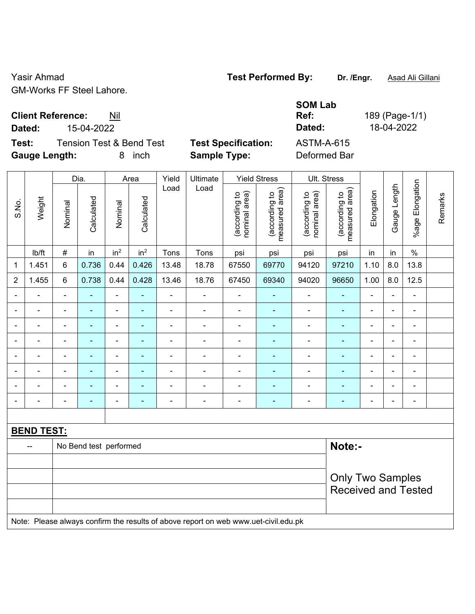Yasir Ahmad **Test Performed By:** Dr. /Engr. **Asad Ali Gillani** Casir Ahmad GM-Works FF Steel Lahore.

**Client Reference:** Nil

**Test:** Tension Test & Bend Test **Test Specification:** ASTM-A-615 **Gauge Length:** 8 inch **Sample Type:** Deformed Bar

**SOM Lab Ref:** 189 (Page-1/1) **Dated:** 15-04-2022 **Dated:** 18-04-2022

|                |                   |                                  | Dia.           |                          | Area            | Yield          | Ultimate                                                                            |                                | <b>Yield Stress</b>             |                                | Ult. Stress                                           |                |                          |                          |         |
|----------------|-------------------|----------------------------------|----------------|--------------------------|-----------------|----------------|-------------------------------------------------------------------------------------|--------------------------------|---------------------------------|--------------------------------|-------------------------------------------------------|----------------|--------------------------|--------------------------|---------|
| S.No.          | Weight            | Nominal                          | Calculated     | Nominal                  | Calculated      | Load           | Load                                                                                | (according to<br>nominal area) | (according to<br>measured area) | (according to<br>nominal area) | (according to<br>measured area)                       | Elongation     | Gauge Length             | Elongation<br>$%$ age I  | Remarks |
|                | lb/ft             | $\#$                             | in             | in <sup>2</sup>          | in <sup>2</sup> | Tons           | Tons                                                                                | psi                            | psi                             | psi                            | psi                                                   | in             | in                       | $\frac{0}{0}$            |         |
| 1              | 1.451             | $\,6$                            | 0.736          | 0.44                     | 0.426           | 13.48          | 18.78                                                                               | 67550                          | 69770                           | 94120                          | 97210                                                 | 1.10           | 8.0                      | 13.8                     |         |
| $\overline{2}$ | 1.455             | 6                                | 0.738          | 0.44                     | 0.428           | 13.46          | 18.76                                                                               | 67450                          | 69340                           | 94020                          | 96650                                                 | 1.00           | 8.0                      | 12.5                     |         |
| $\blacksquare$ | $\blacksquare$    | $\blacksquare$                   | ÷,             | $\blacksquare$           | $\blacksquare$  | $\blacksquare$ | $\blacksquare$                                                                      | $\blacksquare$                 | $\blacksquare$                  | $\blacksquare$                 | $\blacksquare$                                        | $\blacksquare$ | $\blacksquare$           | $\blacksquare$           |         |
| $\blacksquare$ | $\blacksquare$    | $\blacksquare$                   | ÷,             | $\overline{\phantom{a}}$ | $\blacksquare$  | $\blacksquare$ | $\blacksquare$                                                                      | $\overline{\phantom{a}}$       | $\blacksquare$                  | $\blacksquare$                 | $\blacksquare$                                        | $\blacksquare$ | $\overline{\phantom{0}}$ | $\blacksquare$           |         |
| $\blacksquare$ | ä,                | $\blacksquare$                   | ÷,             | $\blacksquare$           | ٠               | $\blacksquare$ | ä,                                                                                  | $\blacksquare$                 | ä,                              | $\blacksquare$                 | $\blacksquare$                                        | $\blacksquare$ | ä,                       | $\blacksquare$           |         |
|                | $\blacksquare$    | $\blacksquare$                   | $\blacksquare$ | $\overline{\phantom{a}}$ | $\blacksquare$  | $\blacksquare$ | ä,                                                                                  | $\overline{\phantom{a}}$       | ٠                               | $\blacksquare$                 | $\blacksquare$                                        | $\blacksquare$ | $\blacksquare$           | $\blacksquare$           |         |
|                |                   | $\blacksquare$                   | $\blacksquare$ | ۰                        |                 | $\blacksquare$ | $\blacksquare$                                                                      | $\blacksquare$                 | ۰                               | $\blacksquare$                 | $\overline{\phantom{a}}$                              | $\blacksquare$ | $\blacksquare$           | $\overline{\phantom{0}}$ |         |
|                | $\blacksquare$    | $\blacksquare$                   | ÷              | $\blacksquare$           | $\blacksquare$  | $\blacksquare$ | $\blacksquare$                                                                      | $\blacksquare$                 | ٠                               | $\blacksquare$                 | $\blacksquare$                                        | $\blacksquare$ | $\blacksquare$           | $\blacksquare$           |         |
|                | $\blacksquare$    | $\blacksquare$                   |                | $\overline{\phantom{a}}$ | ä,              | $\blacksquare$ | $\blacksquare$                                                                      | $\overline{a}$                 | $\blacksquare$                  | $\blacksquare$                 | $\overline{\phantom{a}}$                              | L,             | $\blacksquare$           | $\overline{\phantom{a}}$ |         |
| $\blacksquare$ | $\blacksquare$    | $\blacksquare$                   | $\blacksquare$ | $\overline{\phantom{a}}$ | $\blacksquare$  | $\blacksquare$ | ÷                                                                                   | $\overline{\phantom{a}}$       | $\blacksquare$                  | $\overline{\phantom{a}}$       | $\blacksquare$                                        | $\blacksquare$ | $\blacksquare$           | $\blacksquare$           |         |
|                |                   |                                  |                |                          |                 |                |                                                                                     |                                |                                 |                                |                                                       |                |                          |                          |         |
|                | <b>BEND TEST:</b> |                                  |                |                          |                 |                |                                                                                     |                                |                                 |                                |                                                       |                |                          |                          |         |
|                |                   | Note:-<br>No Bend test performed |                |                          |                 |                |                                                                                     |                                |                                 |                                |                                                       |                |                          |                          |         |
|                |                   |                                  |                |                          |                 |                |                                                                                     |                                |                                 |                                |                                                       |                |                          |                          |         |
|                |                   |                                  |                |                          |                 |                |                                                                                     |                                |                                 |                                | <b>Only Two Samples</b><br><b>Received and Tested</b> |                |                          |                          |         |
|                |                   |                                  |                |                          |                 |                | Note: Please always confirm the results of above report on web www.uet-civil.edu.pk |                                |                                 |                                |                                                       |                |                          |                          |         |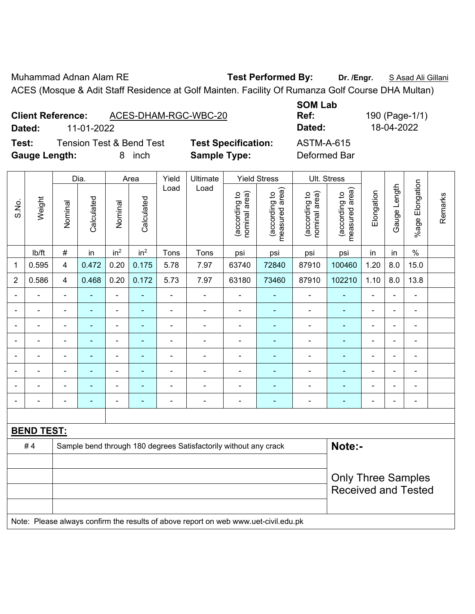Muhammad Adnan Alam RE **Test Performed By: Dr. /Engr.** S Asad Ali Gillani

ACES (Mosque & Adit Staff Residence at Golf Mainten. Facility Of Rumanza Golf Course DHA Multan)

|                      |                          |                          |                            | <b>SUMLAD</b>     |              |
|----------------------|--------------------------|--------------------------|----------------------------|-------------------|--------------|
|                      | <b>Client Reference:</b> | ACES-DHAM-RGC-WBC-20     |                            | Ref:              | 190 (Page-1/ |
| Dated:               | 11-01-2022               |                          |                            | Dated:            | 18-04-2022   |
| Test:                |                          | Tension Test & Bend Test | <b>Test Specification:</b> | <b>ASTM-A-615</b> |              |
| <b>Gauge Length:</b> |                          | <i>inch</i>              | <b>Sample Type:</b>        | Deformed Bar      |              |

**SOM Lab Ref:** 190 (Page-1/1) **Text: Execute 3** 

|                |                          |                                                                            | Dia.           |                 | Area            | Yield          | Ultimate                                                                            |                                | <b>Yield Stress</b>             |                                | Ult. Stress                     |                |                |                          |         |
|----------------|--------------------------|----------------------------------------------------------------------------|----------------|-----------------|-----------------|----------------|-------------------------------------------------------------------------------------|--------------------------------|---------------------------------|--------------------------------|---------------------------------|----------------|----------------|--------------------------|---------|
| S.No.          | Weight                   | Nominal                                                                    | Calculated     | Nominal         | Calculated      | Load           | Load                                                                                | (according to<br>nominal area) | (according to<br>measured area) | (according to<br>nominal area) | measured area)<br>(according to | Elongation     | Gauge Length   | %age Elongation          | Remarks |
|                | lb/ft                    | $\#$                                                                       | in             | in <sup>2</sup> | in <sup>2</sup> | Tons           | Tons                                                                                | psi                            | psi                             | psi                            | psi                             | in             | in             | $\%$                     |         |
| $\mathbf{1}$   | 0.595                    | $\overline{4}$                                                             | 0.472          | 0.20            | 0.175           | 5.78           | 7.97                                                                                | 63740                          | 72840                           | 87910                          | 100460                          | 1.20           | 8.0            | 15.0                     |         |
| $\overline{2}$ | 0.586                    | $\overline{4}$                                                             | 0.468          | 0.20            | 0.172           | 5.73           | 7.97                                                                                | 63180                          | 73460                           | 87910                          | 102210                          | 1.10           | 8.0            | 13.8                     |         |
|                |                          | $\overline{\phantom{0}}$                                                   |                |                 | $\blacksquare$  |                | $\blacksquare$                                                                      | $\blacksquare$                 |                                 | ÷                              |                                 | $\blacksquare$ |                |                          |         |
|                |                          | ÷.                                                                         | L,             | L,              | $\blacksquare$  |                |                                                                                     | $\blacksquare$                 | ä,                              | $\blacksquare$                 | ٠                               | $\blacksquare$ |                | $\blacksquare$           |         |
| $\blacksquare$ | $\overline{a}$           | $\overline{\phantom{0}}$                                                   | ٠              | $\blacksquare$  | ٠               | $\blacksquare$ | $\overline{a}$                                                                      | $\blacksquare$                 | ٠                               | $\blacksquare$                 |                                 | ÷              | $\blacksquare$ | $\overline{a}$           |         |
| $\blacksquare$ | $\blacksquare$           | $\blacksquare$                                                             | ä,             | $\blacksquare$  | ٠               | $\blacksquare$ | $\blacksquare$                                                                      | $\blacksquare$                 | $\blacksquare$                  | $\blacksquare$                 | $\blacksquare$                  | $\blacksquare$ | $\blacksquare$ | $\blacksquare$           |         |
| $\blacksquare$ | $\overline{\phantom{0}}$ | ä,                                                                         | $\blacksquare$ | $\blacksquare$  | ÷,              | $\blacksquare$ | $\blacksquare$                                                                      | $\blacksquare$                 | $\blacksquare$                  | $\blacksquare$                 | $\blacksquare$                  | $\frac{1}{2}$  | $\blacksquare$ | $\blacksquare$           |         |
| $\blacksquare$ | $\blacksquare$           | ÷,                                                                         | $\blacksquare$ | $\blacksquare$  | ÷,              | $\blacksquare$ | $\blacksquare$                                                                      | $\overline{\phantom{a}}$       | ä,                              | $\blacksquare$                 | $\blacksquare$                  | $\blacksquare$ | $\blacksquare$ | $\overline{\phantom{a}}$ |         |
|                |                          |                                                                            | Ē,             |                 | $\blacksquare$  |                | ÷                                                                                   | $\blacksquare$                 |                                 | ÷                              |                                 | ÷              |                | $\blacksquare$           |         |
|                |                          | ۰                                                                          | $\blacksquare$ |                 | ۰               |                | $\blacksquare$                                                                      | $\blacksquare$                 | $\blacksquare$                  | $\blacksquare$                 | $\blacksquare$                  | $\blacksquare$ |                | $\blacksquare$           |         |
|                |                          |                                                                            |                |                 |                 |                |                                                                                     |                                |                                 |                                |                                 |                |                |                          |         |
|                | <b>BEND TEST:</b>        |                                                                            |                |                 |                 |                |                                                                                     |                                |                                 |                                |                                 |                |                |                          |         |
|                | #4                       | Note:-<br>Sample bend through 180 degrees Satisfactorily without any crack |                |                 |                 |                |                                                                                     |                                |                                 |                                |                                 |                |                |                          |         |
|                |                          |                                                                            |                |                 |                 |                |                                                                                     |                                |                                 |                                |                                 |                |                |                          |         |
|                |                          |                                                                            |                |                 |                 |                |                                                                                     |                                |                                 |                                | <b>Only Three Samples</b>       |                |                |                          |         |
|                |                          |                                                                            |                |                 |                 |                |                                                                                     |                                |                                 |                                | <b>Received and Tested</b>      |                |                |                          |         |
|                |                          |                                                                            |                |                 |                 |                |                                                                                     |                                |                                 |                                |                                 |                |                |                          |         |
|                |                          |                                                                            |                |                 |                 |                | Note: Please always confirm the results of above report on web www.uet-civil.edu.pk |                                |                                 |                                |                                 |                |                |                          |         |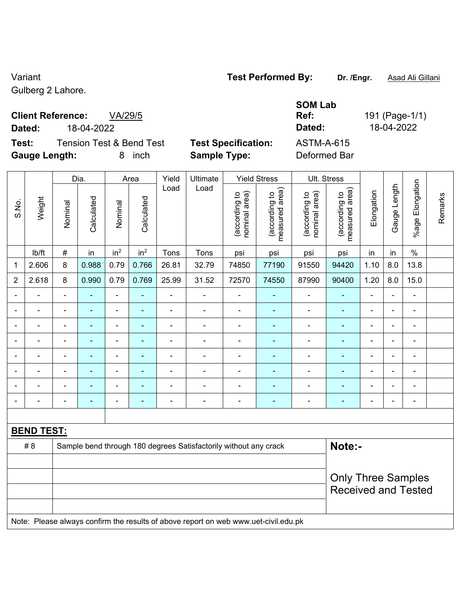### Variant **Test Performed By: Dr. /Engr.** Asad Ali Gillani

Gulberg 2 Lahore.

## **Client Reference:** VA/29/5

**Test:** Tension Test & Bend Test **Test Specification:** ASTM-A-615 **Gauge Length:** 8 inch **Sample Type:** Deformed Bar

**SOM Lab Ref:** 191 (Page-1/1) **Dated:** 18-04-2022 **Dated:** 18-04-2022

|                | Weight                   | Dia.<br>Area   |                | Yield<br>Ultimate |                 | <b>Yield Stress</b> |                                                                                     | Ult. Stress                    |                                 |                                |                                 |                           |                          |                          |         |  |
|----------------|--------------------------|----------------|----------------|-------------------|-----------------|---------------------|-------------------------------------------------------------------------------------|--------------------------------|---------------------------------|--------------------------------|---------------------------------|---------------------------|--------------------------|--------------------------|---------|--|
| S.No.          |                          | Nominal        | Calculated     | Nominal           | Calculated      | Load                | Load                                                                                | nominal area)<br>(according to | (according to<br>measured area) | (according to<br>nominal area) | (according to<br>measured area) | Elongation                | Gauge Length             | %age Elongation          | Remarks |  |
|                | lb/ft                    | $\#$           | in             | in <sup>2</sup>   | in <sup>2</sup> | Tons                | Tons                                                                                | psi                            | psi                             | psi                            | psi                             | in                        | in                       | $\%$                     |         |  |
| 1              | 2.606                    | 8              | 0.988          | 0.79              | 0.766           | 26.81               | 32.79                                                                               | 74850                          | 77190                           | 91550                          | 94420                           | 1.10                      | 8.0                      | 13.8                     |         |  |
| $\overline{2}$ | 2.618                    | 8              | 0.990          | 0.79              | 0.769           | 25.99               | 31.52                                                                               | 72570                          | 74550                           | 87990                          | 90400                           | 1.20                      | 8.0                      | 15.0                     |         |  |
| ÷              | $\overline{\phantom{a}}$ | $\blacksquare$ | ä,             | $\blacksquare$    | $\blacksquare$  | ä,                  | $\overline{\phantom{a}}$                                                            | ÷,                             | ÷,                              | $\blacksquare$                 | $\blacksquare$                  | $\blacksquare$            | $\overline{\phantom{0}}$ | $\blacksquare$           |         |  |
|                | ÷,                       | $\blacksquare$ | $\blacksquare$ | $\blacksquare$    | $\blacksquare$  | $\blacksquare$      | $\qquad \qquad \blacksquare$                                                        | $\blacksquare$                 | ä,                              | ÷,                             | $\blacksquare$                  | $\blacksquare$            | ä,                       | $\overline{\phantom{0}}$ |         |  |
|                | $\blacksquare$           | $\blacksquare$ | $\blacksquare$ | $\blacksquare$    | $\blacksquare$  | $\blacksquare$      | ÷,                                                                                  | $\blacksquare$                 | ä,                              | $\blacksquare$                 | $\blacksquare$                  | $\blacksquare$            | ä,                       | $\blacksquare$           |         |  |
|                | $\blacksquare$           | $\blacksquare$ | ä,             | $\blacksquare$    | ÷,              | ÷,                  | ÷,                                                                                  | $\blacksquare$                 | -                               | ä,                             | ä,                              | ä,                        | ÷.                       | ÷,                       |         |  |
|                |                          |                | ÷              | $\blacksquare$    | ٠               |                     | $\blacksquare$                                                                      | $\blacksquare$                 | $\blacksquare$                  | ÷                              | $\blacksquare$                  | Ē,                        | $\blacksquare$           | ۰                        |         |  |
|                | $\blacksquare$           | $\blacksquare$ | ä,             | $\blacksquare$    | $\blacksquare$  | ä,                  | ÷.                                                                                  | $\blacksquare$                 | ÷                               | $\blacksquare$                 | $\blacksquare$                  | $\blacksquare$            | $\blacksquare$           | ÷,                       |         |  |
|                | ä,                       | L,             | ۰              | $\blacksquare$    | $\blacksquare$  | Ē,                  | -                                                                                   | $\blacksquare$                 | ÷,                              | ÷,                             | ÷,                              | ÷,                        | ÷.                       | ۰                        |         |  |
|                | ÷                        | $\overline{a}$ | $\blacksquare$ | $\blacksquare$    | $\blacksquare$  | ÷,                  | $\frac{1}{2}$                                                                       | $\blacksquare$                 | -                               | ÷,                             | $\blacksquare$                  | $\blacksquare$            |                          | ÷,                       |         |  |
|                |                          |                |                |                   |                 |                     |                                                                                     |                                |                                 |                                |                                 |                           |                          |                          |         |  |
|                | <b>BEND TEST:</b>        |                |                |                   |                 |                     |                                                                                     |                                |                                 |                                |                                 |                           |                          |                          |         |  |
|                | # 8                      |                |                |                   |                 |                     | Sample bend through 180 degrees Satisfactorily without any crack                    |                                | Note:-                          |                                |                                 |                           |                          |                          |         |  |
|                |                          |                |                |                   |                 |                     |                                                                                     |                                |                                 |                                |                                 |                           |                          |                          |         |  |
|                |                          |                |                |                   |                 |                     |                                                                                     |                                |                                 |                                |                                 | <b>Only Three Samples</b> |                          |                          |         |  |
|                |                          |                |                |                   |                 |                     |                                                                                     |                                |                                 |                                | <b>Received and Tested</b>      |                           |                          |                          |         |  |
|                |                          |                |                |                   |                 |                     |                                                                                     |                                |                                 |                                |                                 |                           |                          |                          |         |  |
|                |                          |                |                |                   |                 |                     | Note: Please always confirm the results of above report on web www.uet-civil.edu.pk |                                |                                 |                                |                                 |                           |                          |                          |         |  |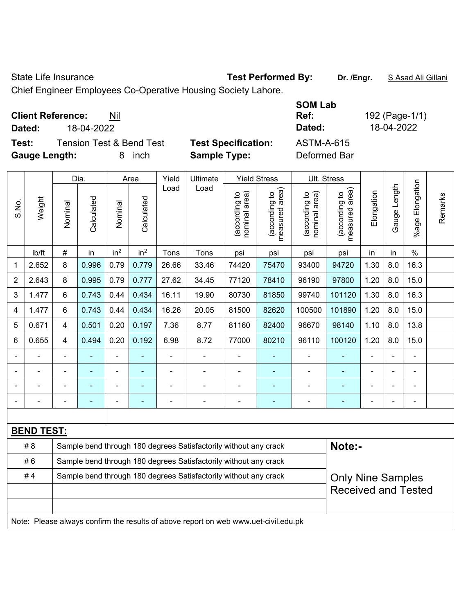State Life Insurance **Test Performed By: Dr. /Engr.** S Asad Ali Gillani

Chief Engineer Employees Co-Operative Housing Society Lahore.

| <b>Client Reference:</b><br>Nil              |                            | <b>SOM Lab</b><br>Ref: | 192 (Page-1/1) |
|----------------------------------------------|----------------------------|------------------------|----------------|
| 18-04-2022<br>Dated:                         |                            | Dated:                 | 18-04-2022     |
| <b>Tension Test &amp; Bend Test</b><br>Test: | <b>Test Specification:</b> | <b>ASTM-A-615</b>      |                |
| <b>Gauge Length:</b><br>inch<br>8            | <b>Sample Type:</b>        | Deformed Bar           |                |

|                | Weight                                                                              | Dia.                    |            | Area            |                          | Yield          | Ultimate                                                         |                                | <b>Yield Stress</b>             |                                | Ult. Stress                     |                |                |                              |         |
|----------------|-------------------------------------------------------------------------------------|-------------------------|------------|-----------------|--------------------------|----------------|------------------------------------------------------------------|--------------------------------|---------------------------------|--------------------------------|---------------------------------|----------------|----------------|------------------------------|---------|
| S.No.          |                                                                                     | Nominal                 | Calculated | Nominal         | Calculated               | Load           | Load                                                             | nominal area)<br>(according to | (according to<br>measured area) | nominal area)<br>(according to | measured area)<br>(according to | Elongation     | Gauge Length   | %age Elongation              | Remarks |
|                | lb/ft                                                                               | #                       | in         | in <sup>2</sup> | in <sup>2</sup>          | Tons           | Tons                                                             | psi                            | psi                             | psi                            | psi                             | in             | in             | $\%$                         |         |
| 1              | 2.652                                                                               | 8                       | 0.996      | 0.79            | 0.779                    | 26.66          | 33.46                                                            | 74420                          | 75470                           | 93400                          | 94720                           | 1.30           | 8.0            | 16.3                         |         |
| $\overline{2}$ | 2.643                                                                               | 8                       | 0.995      | 0.79            | 0.777                    | 27.62          | 34.45                                                            | 77120                          | 78410                           | 96190                          | 97800                           | 1.20           | 8.0            | 15.0                         |         |
| 3              | 1.477                                                                               | 6                       | 0.743      | 0.44            | 0.434                    | 16.11          | 19.90                                                            | 80730                          | 81850                           | 99740                          | 101120                          | 1.30           | 8.0            | 16.3                         |         |
| 4              | 1.477                                                                               | 6                       | 0.743      | 0.44            | 0.434                    | 16.26          | 20.05                                                            | 81500                          | 82620                           | 100500                         | 101890                          | 1.20           | 8.0            | 15.0                         |         |
| 5              | 0.671                                                                               | $\overline{\mathbf{4}}$ | 0.501      | 0.20            | 0.197                    | 7.36           | 8.77                                                             | 81160                          | 82400                           | 96670                          | 98140                           | 1.10           | 8.0            | 13.8                         |         |
| 6              | 0.655                                                                               | $\overline{4}$          | 0.494      | 0.20            | 0.192                    | 6.98           | 8.72                                                             | 77000                          | 80210                           | 96110                          | 100120                          | 1.20           | 8.0            | 15.0                         |         |
|                |                                                                                     |                         |            |                 |                          |                | $\blacksquare$                                                   |                                |                                 |                                |                                 |                |                |                              |         |
|                |                                                                                     |                         |            | $\blacksquare$  |                          |                | $\blacksquare$                                                   | $\blacksquare$                 |                                 |                                |                                 |                |                |                              |         |
|                |                                                                                     |                         |            | $\blacksquare$  |                          | $\blacksquare$ | $\blacksquare$                                                   | $\blacksquare$                 | $\blacksquare$                  | $\blacksquare$                 | ÷                               |                | $\blacksquare$ | $\qquad \qquad \blacksquare$ |         |
|                |                                                                                     | $\blacksquare$          | ٠          | $\blacksquare$  | $\overline{\phantom{0}}$ | $\blacksquare$ | $\blacksquare$                                                   | $\blacksquare$                 | ۰                               | $\blacksquare$                 | $\overline{\phantom{a}}$        | $\blacksquare$ |                | ÷                            |         |
|                |                                                                                     |                         |            |                 |                          |                |                                                                  |                                |                                 |                                |                                 |                |                |                              |         |
|                | <b>BEND TEST:</b>                                                                   |                         |            |                 |                          |                |                                                                  |                                |                                 |                                |                                 |                |                |                              |         |
|                | # 8                                                                                 |                         |            |                 |                          |                | Sample bend through 180 degrees Satisfactorily without any crack |                                |                                 |                                | Note:-                          |                |                |                              |         |
|                | #6                                                                                  |                         |            |                 |                          |                | Sample bend through 180 degrees Satisfactorily without any crack |                                |                                 |                                |                                 |                |                |                              |         |
|                | #4<br>Sample bend through 180 degrees Satisfactorily without any crack              |                         |            |                 |                          |                |                                                                  |                                |                                 |                                | <b>Only Nine Samples</b>        |                |                |                              |         |
|                |                                                                                     |                         |            |                 |                          |                |                                                                  |                                |                                 |                                | <b>Received and Tested</b>      |                |                |                              |         |
|                |                                                                                     |                         |            |                 |                          |                |                                                                  |                                |                                 |                                |                                 |                |                |                              |         |
|                | Note: Please always confirm the results of above report on web www.uet-civil.edu.pk |                         |            |                 |                          |                |                                                                  |                                |                                 |                                |                                 |                |                |                              |         |